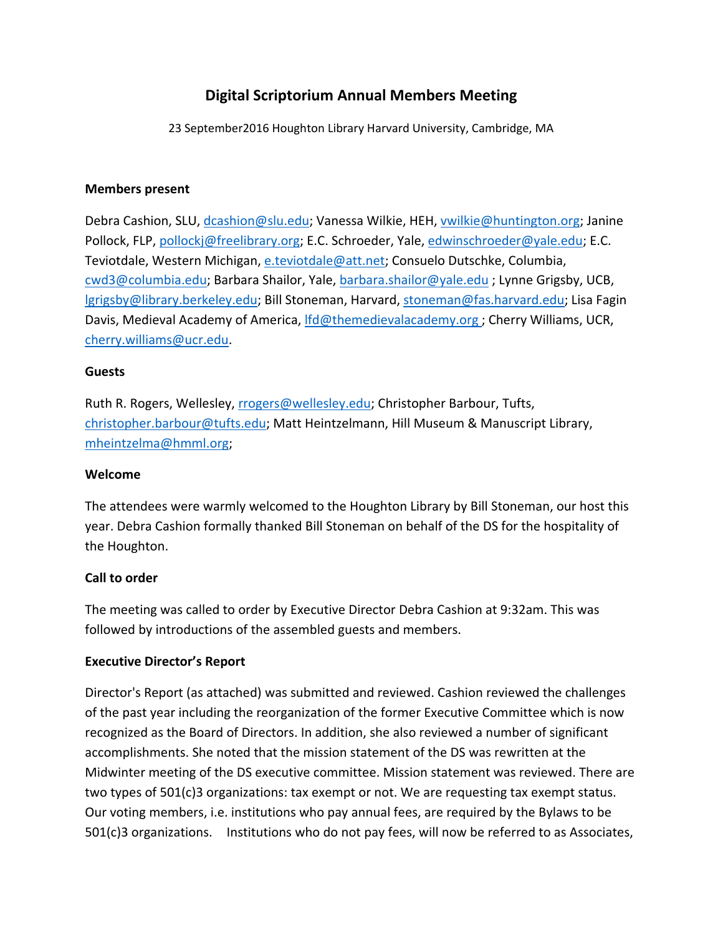# **Digital Scriptorium Annual Members Meeting**

23 September2016 Houghton Library Harvard University, Cambridge, MA

# **Members present**

Debra Cashion, SLU, [dcashion@slu.edu;](mailto:dcashion@slu.eduu) Vanessa Wilkie, HEH, [vwilkie@huntington.org;](mailto:vwilkie@huntington.org) Janine Pollock, FLP, [pollockj@freelibrary.org;](mailto:pollockj@freelibrary.org) E.C. Schroeder, Yale, [edwinschroeder@yale.edu;](mailto:edwinschroeder@yale.edu) E.C. Teviotdale, Western Michigan, [e.teviotdale@att.net;](mailto:e.teviotdale@att.net) Consuelo Dutschke, Columbia, [cwd3@columbia.edu;](mailto:cwd3@columbia.edu) Barbara Shailor, Yale, [barbara.shailor@yale.edu](mailto:barbara.shailor@yale.edu) ; Lynne Grigsby, UCB, [lgrigsby@library.berkeley.edu;](mailto:lgrigsby@library.berkeley.edu) Bill Stoneman, Harvard, [stoneman@fas.harvard.edu;](mailto:stoneman@fas.harvard.edu) Lisa Fagin Davis, Medieval Academy of America, [lfd@themedievalacademy.org](mailto:lfd@themedievalacademy.org) ; Cherry Williams, UCR, [cherry.williams@ucr.edu.](mailto:cherry.williams@ucr.edu)

# **Guests**

Ruth R. Rogers, Wellesley, [rrogers@wellesley.edu;](mailto:rrogers@wellesley.edu) Christopher Barbour, Tufts, [christopher.barbour@tufts.edu;](mailto:christopher.barbour@tufts.edu) Matt Heintzelmann, Hill Museum & Manuscript Library, [mheintzelma@hmml.org;](mailto:mheintzelma@hmml.org)

# **Welcome**

The attendees were warmly welcomed to the Houghton Library by Bill Stoneman, our host this year. Debra Cashion formally thanked Bill Stoneman on behalf of the DS for the hospitality of the Houghton.

# **Call to order**

The meeting was called to order by Executive Director Debra Cashion at 9:32am. This was followed by introductions of the assembled guests and members.

# **Executive Director's Report**

Director's Report (as attached) was submitted and reviewed. Cashion reviewed the challenges of the past year including the reorganization of the former Executive Committee which is now recognized as the Board of Directors. In addition, she also reviewed a number of significant accomplishments. She noted that the mission statement of the DS was rewritten at the Midwinter meeting of the DS executive committee. Mission statement was reviewed. There are two types of 501(c)3 organizations: tax exempt or not. We are requesting tax exempt status. Our voting members, i.e. institutions who pay annual fees, are required by the Bylaws to be 501(c)3 organizations. Institutions who do not pay fees, will now be referred to as Associates,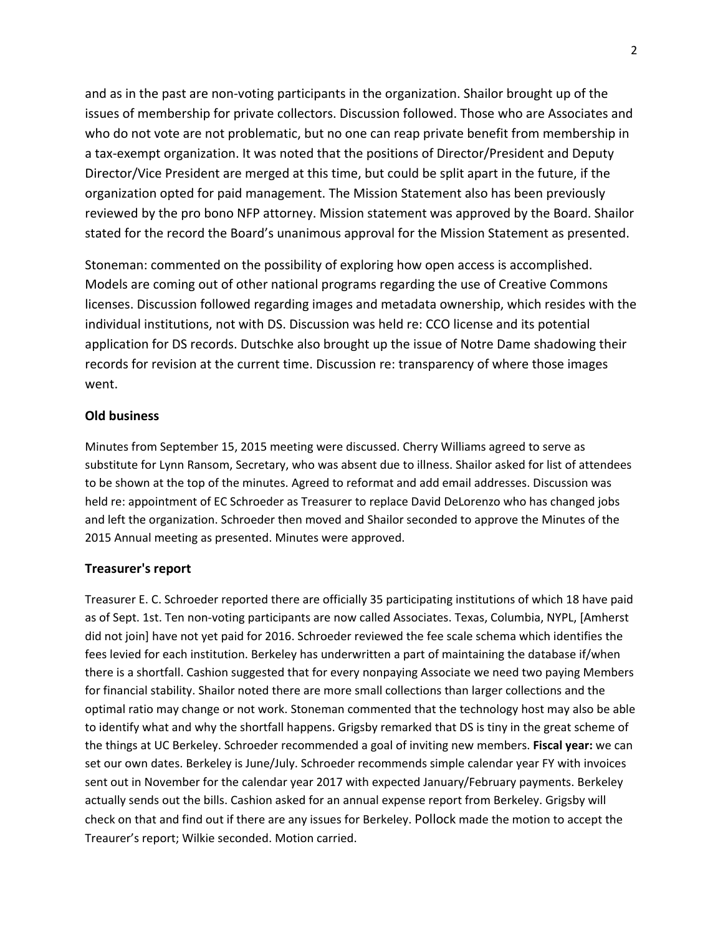and as in the past are non-voting participants in the organization. Shailor brought up of the issues of membership for private collectors. Discussion followed. Those who are Associates and who do not vote are not problematic, but no one can reap private benefit from membership in a tax-exempt organization. It was noted that the positions of Director/President and Deputy Director/Vice President are merged at this time, but could be split apart in the future, if the organization opted for paid management. The Mission Statement also has been previously reviewed by the pro bono NFP attorney. Mission statement was approved by the Board. Shailor stated for the record the Board's unanimous approval for the Mission Statement as presented.

Stoneman: commented on the possibility of exploring how open access is accomplished. Models are coming out of other national programs regarding the use of Creative Commons licenses. Discussion followed regarding images and metadata ownership, which resides with the individual institutions, not with DS. Discussion was held re: CCO license and its potential application for DS records. Dutschke also brought up the issue of Notre Dame shadowing their records for revision at the current time. Discussion re: transparency of where those images went.

## **Old business**

Minutes from September 15, 2015 meeting were discussed. Cherry Williams agreed to serve as substitute for Lynn Ransom, Secretary, who was absent due to illness. Shailor asked for list of attendees to be shown at the top of the minutes. Agreed to reformat and add email addresses. Discussion was held re: appointment of EC Schroeder as Treasurer to replace David DeLorenzo who has changed jobs and left the organization. Schroeder then moved and Shailor seconded to approve the Minutes of the 2015 Annual meeting as presented. Minutes were approved.

### **Treasurer's report**

Treasurer E. C. Schroeder reported there are officially 35 participating institutions of which 18 have paid as of Sept. 1st. Ten non-voting participants are now called Associates. Texas, Columbia, NYPL, [Amherst did not join] have not yet paid for 2016. Schroeder reviewed the fee scale schema which identifies the fees levied for each institution. Berkeley has underwritten a part of maintaining the database if/when there is a shortfall. Cashion suggested that for every nonpaying Associate we need two paying Members for financial stability. Shailor noted there are more small collections than larger collections and the optimal ratio may change or not work. Stoneman commented that the technology host may also be able to identify what and why the shortfall happens. Grigsby remarked that DS is tiny in the great scheme of the things at UC Berkeley. Schroeder recommended a goal of inviting new members. **Fiscal year:** we can set our own dates. Berkeley is June/July. Schroeder recommends simple calendar year FY with invoices sent out in November for the calendar year 2017 with expected January/February payments. Berkeley actually sends out the bills. Cashion asked for an annual expense report from Berkeley. Grigsby will check on that and find out if there are any issues for Berkeley. Pollock made the motion to accept the Treaurer's report; Wilkie seconded. Motion carried.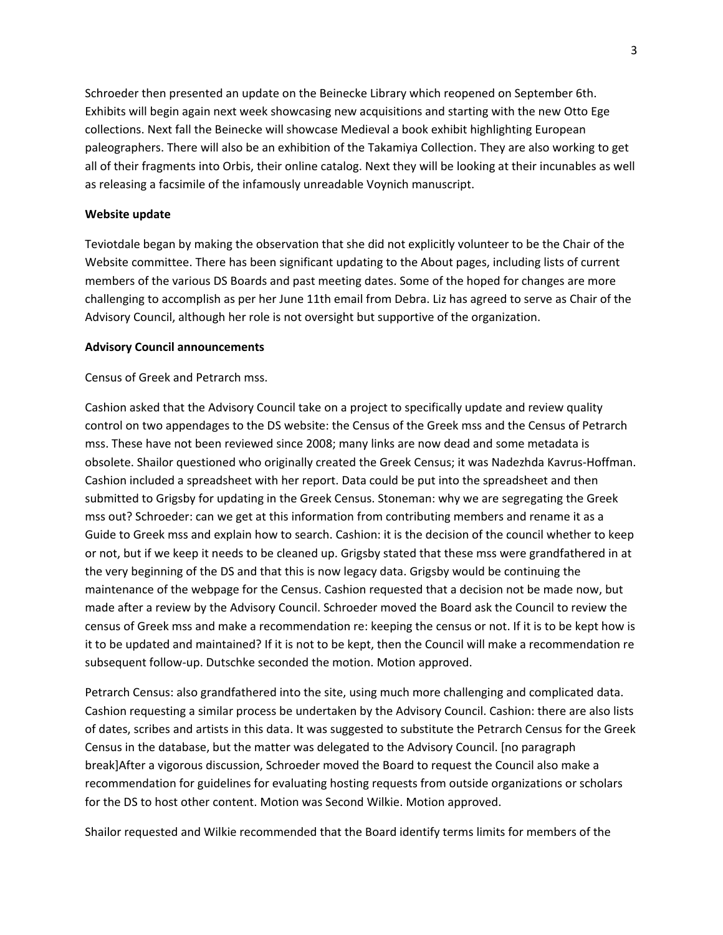Schroeder then presented an update on the Beinecke Library which reopened on September 6th. Exhibits will begin again next week showcasing new acquisitions and starting with the new Otto Ege collections. Next fall the Beinecke will showcase Medieval a book exhibit highlighting European paleographers. There will also be an exhibition of the Takamiya Collection. They are also working to get all of their fragments into Orbis, their online catalog. Next they will be looking at their incunables as well as releasing a facsimile of the infamously unreadable Voynich manuscript.

### **Website update**

Teviotdale began by making the observation that she did not explicitly volunteer to be the Chair of the Website committee. There has been significant updating to the About pages, including lists of current members of the various DS Boards and past meeting dates. Some of the hoped for changes are more challenging to accomplish as per her June 11th email from Debra. Liz has agreed to serve as Chair of the Advisory Council, although her role is not oversight but supportive of the organization.

#### **Advisory Council announcements**

Census of Greek and Petrarch mss.

Cashion asked that the Advisory Council take on a project to specifically update and review quality control on two appendages to the DS website: the Census of the Greek mss and the Census of Petrarch mss. These have not been reviewed since 2008; many links are now dead and some metadata is obsolete. Shailor questioned who originally created the Greek Census; it was Nadezhda Kavrus-Hoffman. Cashion included a spreadsheet with her report. Data could be put into the spreadsheet and then submitted to Grigsby for updating in the Greek Census. Stoneman: why we are segregating the Greek mss out? Schroeder: can we get at this information from contributing members and rename it as a Guide to Greek mss and explain how to search. Cashion: it is the decision of the council whether to keep or not, but if we keep it needs to be cleaned up. Grigsby stated that these mss were grandfathered in at the very beginning of the DS and that this is now legacy data. Grigsby would be continuing the maintenance of the webpage for the Census. Cashion requested that a decision not be made now, but made after a review by the Advisory Council. Schroeder moved the Board ask the Council to review the census of Greek mss and make a recommendation re: keeping the census or not. If it is to be kept how is it to be updated and maintained? If it is not to be kept, then the Council will make a recommendation re subsequent follow-up. Dutschke seconded the motion. Motion approved.

Petrarch Census: also grandfathered into the site, using much more challenging and complicated data. Cashion requesting a similar process be undertaken by the Advisory Council. Cashion: there are also lists of dates, scribes and artists in this data. It was suggested to substitute the Petrarch Census for the Greek Census in the database, but the matter was delegated to the Advisory Council. [no paragraph break]After a vigorous discussion, Schroeder moved the Board to request the Council also make a recommendation for guidelines for evaluating hosting requests from outside organizations or scholars for the DS to host other content. Motion was Second Wilkie. Motion approved.

Shailor requested and Wilkie recommended that the Board identify terms limits for members of the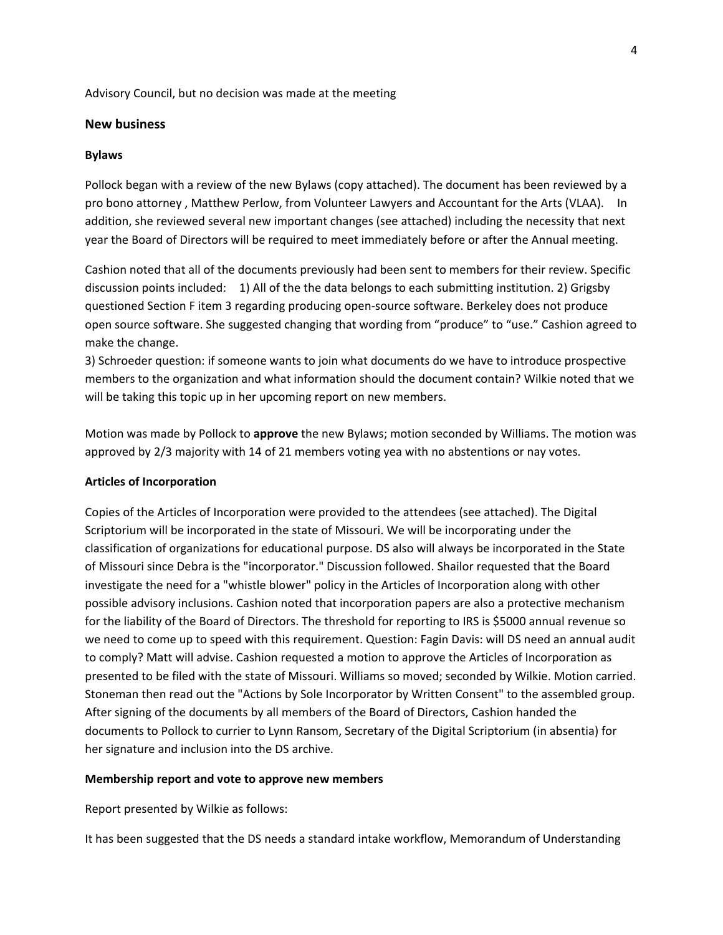Advisory Council, but no decision was made at the meeting

#### **New business**

#### **Bylaws**

Pollock began with a review of the new Bylaws (copy attached). The document has been reviewed by a pro bono attorney , Matthew Perlow, from Volunteer Lawyers and Accountant for the Arts (VLAA). In addition, she reviewed several new important changes (see attached) including the necessity that next year the Board of Directors will be required to meet immediately before or after the Annual meeting.

Cashion noted that all of the documents previously had been sent to members for their review. Specific discussion points included: 1) All of the the data belongs to each submitting institution. 2) Grigsby questioned Section F item 3 regarding producing open-source software. Berkeley does not produce open source software. She suggested changing that wording from "produce" to "use." Cashion agreed to make the change.

3) Schroeder question: if someone wants to join what documents do we have to introduce prospective members to the organization and what information should the document contain? Wilkie noted that we will be taking this topic up in her upcoming report on new members.

Motion was made by Pollock to **approve** the new Bylaws; motion seconded by Williams. The motion was approved by 2/3 majority with 14 of 21 members voting yea with no abstentions or nay votes.

#### **Articles of Incorporation**

Copies of the Articles of Incorporation were provided to the attendees (see attached). The Digital Scriptorium will be incorporated in the state of Missouri. We will be incorporating under the classification of organizations for educational purpose. DS also will always be incorporated in the State of Missouri since Debra is the "incorporator." Discussion followed. Shailor requested that the Board investigate the need for a "whistle blower" policy in the Articles of Incorporation along with other possible advisory inclusions. Cashion noted that incorporation papers are also a protective mechanism for the liability of the Board of Directors. The threshold for reporting to IRS is \$5000 annual revenue so we need to come up to speed with this requirement. Question: Fagin Davis: will DS need an annual audit to comply? Matt will advise. Cashion requested a motion to approve the Articles of Incorporation as presented to be filed with the state of Missouri. Williams so moved; seconded by Wilkie. Motion carried. Stoneman then read out the "Actions by Sole Incorporator by Written Consent" to the assembled group. After signing of the documents by all members of the Board of Directors, Cashion handed the documents to Pollock to currier to Lynn Ransom, Secretary of the Digital Scriptorium (in absentia) for her signature and inclusion into the DS archive.

#### **Membership report and vote to approve new members**

Report presented by Wilkie as follows:

It has been suggested that the DS needs a standard intake workflow, Memorandum of Understanding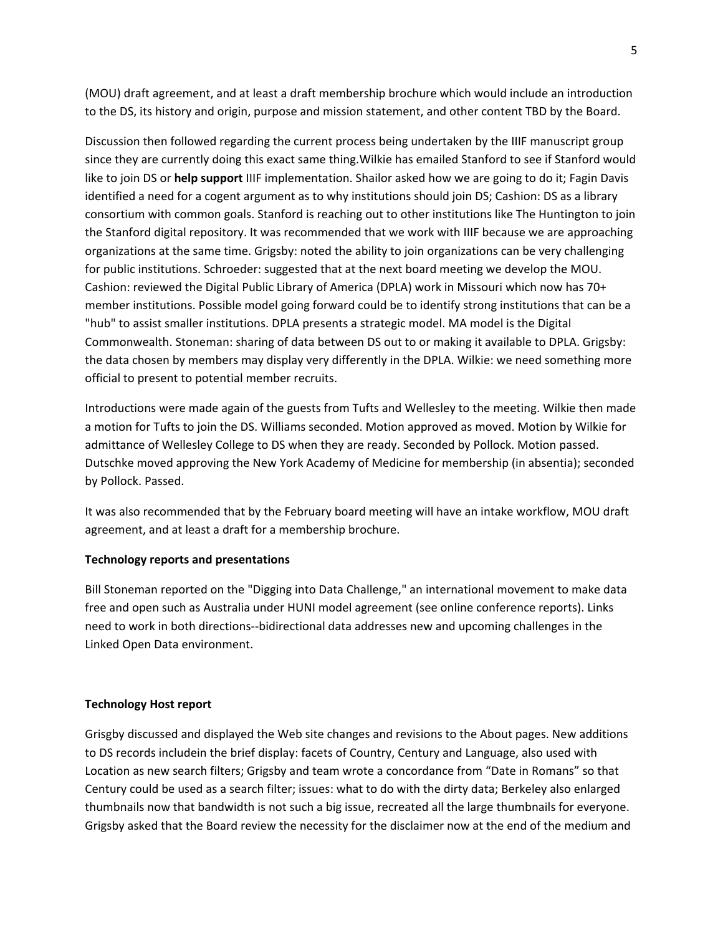(MOU) draft agreement, and at least a draft membership brochure which would include an introduction to the DS, its history and origin, purpose and mission statement, and other content TBD by the Board.

Discussion then followed regarding the current process being undertaken by the IIIF manuscript group since they are currently doing this exact same thing.Wilkie has emailed Stanford to see if Stanford would like to join DS or **help support** IIIF implementation. Shailor asked how we are going to do it; Fagin Davis identified a need for a cogent argument as to why institutions should join DS; Cashion: DS as a library consortium with common goals. Stanford is reaching out to other institutions like The Huntington to join the Stanford digital repository. It was recommended that we work with IIIF because we are approaching organizations at the same time. Grigsby: noted the ability to join organizations can be very challenging for public institutions. Schroeder: suggested that at the next board meeting we develop the MOU. Cashion: reviewed the Digital Public Library of America (DPLA) work in Missouri which now has 70+ member institutions. Possible model going forward could be to identify strong institutions that can be a "hub" to assist smaller institutions. DPLA presents a strategic model. MA model is the Digital Commonwealth. Stoneman: sharing of data between DS out to or making it available to DPLA. Grigsby: the data chosen by members may display very differently in the DPLA. Wilkie: we need something more official to present to potential member recruits.

Introductions were made again of the guests from Tufts and Wellesley to the meeting. Wilkie then made a motion for Tufts to join the DS. Williams seconded. Motion approved as moved. Motion by Wilkie for admittance of Wellesley College to DS when they are ready. Seconded by Pollock. Motion passed. Dutschke moved approving the New York Academy of Medicine for membership (in absentia); seconded by Pollock. Passed.

It was also recommended that by the February board meeting will have an intake workflow, MOU draft agreement, and at least a draft for a membership brochure.

### **Technology reports and presentations**

Bill Stoneman reported on the "Digging into Data Challenge," an international movement to make data free and open such as Australia under HUNI model agreement (see online conference reports). Links need to work in both directions--bidirectional data addresses new and upcoming challenges in the Linked Open Data environment.

### **Technology Host report**

Grisgby discussed and displayed the Web site changes and revisions to the About pages. New additions to DS records includein the brief display: facets of Country, Century and Language, also used with Location as new search filters; Grigsby and team wrote a concordance from "Date in Romans" so that Century could be used as a search filter; issues: what to do with the dirty data; Berkeley also enlarged thumbnails now that bandwidth is not such a big issue, recreated all the large thumbnails for everyone. Grigsby asked that the Board review the necessity for the disclaimer now at the end of the medium and